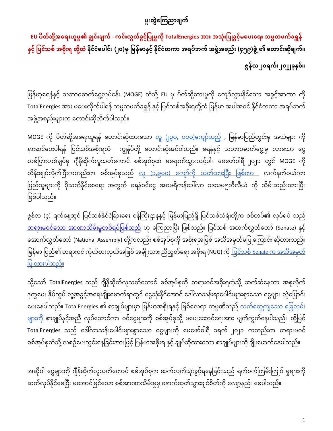# ပူးတွဲကြေညာချက်

EU ပိတ်ဆို့အရေးယူမှု၏ ချွင်းချက် - ကင်းလွတ်ခွင့်ပြုမှုကို TotalEnergies အား အသုံးပြုခွင့်မပေးရေး သမ္မတမက်ခရွန် နှင့် ပြင်သစ် အစိုးရ တို့ထံ နိုင်ငံပေါင်း (၂၀)မှ မြန်မာနှင့် နိုင်ငံတကာ အရပ်ဘက် အဖွဲ့အစည်း (၄၅၉)ဖွဲ့ ၏ တောင်းဆိုချက်။  **ဇွန်လ ၂၀ရက်၊ ၂၀၂၂ခိုနှစ်။**

မြန်မာ့ရေနံနှင့် သဘာဝဓာတ်ငွေ့လုပ်ငန်း (MOGE) ထံသို့ EU မှ ပိတ်ဆို့ထားမှုကို ကျော်လွှားနိုင်သော အခွင့်အာဏာ ကို TotalEnergies အား မပေးလိုက်ပါရန် သမ္မတမက်ခရွန် နှင့် ပြင်သစ်အစိုးရတို့ထံ မြန်မာ အပါအဝင် နိုင်ငံတကာ အရပ်ဘက် အဖွဲ့အစည်းများက တောင်းဆိုလိုက်ပါသည်။

MOGE ကို ပိတ်ဆို့အရေးယူရန် တောင်းဆိုထားသော <u>လူ (၂၃၀, ၀၀၀)ကျော်သည့် ,</u> မြန်မာပြည်တွင်းမှ အသံများ ကို နားဆင်ပေးပါရန် ပြင်သစ်အစိုးရထံ ကျွန်ုပ်တို့ တောင်းဆိုအပ်ပါသည်။ ရေနံနှင့် သဘာဝဓာတ်ငွေ့မှ လာသော ငွေ တစ်ပြားတစ်ချပ်မှ ဂျီနိုဆိုက်လူသတ်ကောင် စစ်အုပ်စုထံ မရောက်သွားသင့်ပါ။ ဖေဖော်ဝါရီ ၂၀၂၁ တွင် MOGE ကို ထိန်းချုပ်လိုက်ပြီးကတည်းက စစ်အုပ်စုသည် <u>လူ (၁.၉၀၀) ကျော်ကို သတ်ထားပြီး ဖြစ်ကာ </u> လက်နက်ဝယ်ကာ ပြည်သူများကို ပိုသတ်နိုင်စေရေး အတွက် ရေနံဝင်ငွေ အမေရိကန်ဒေါ်လာ ၁ဒသမ၅ဘီလီယံ ကို သိမ်းဆည်းထားပြီး မဖစ်ပါသည်။

ဇွန်လ (၄) ရက်နေ့တွင် ပြင်သစ်နိုင်ငံခြားရေး ဝန်ကြီးဌာနနှင့် မြန်မာပြည်ရှိ ပြင်သစ်သံရုံးတို့က စစ်တပ်၏ လုပ်ရပ် သည် <u>တရားမဝင်သော အာဏာသိမ်းမှုတစ်ရပ်ဖြစ်သည်</u> ဟု ကြေညာပြီး ဖြစ်သည်။ ပြင်သစ် အထက်လွှတ်တော် (Senate) နှင့် အောက်လွှတ်တော် (National Assembly) တို့ကလည်း စစ်အုပ်စုကို အစိုးရအဖြစ် အသိအမှတ်မပြုကြောင်း ဆိုထားသည်။ အောက်လွှတ်တော် (National Assembly) တို့ကလည်း စစ်အုပ်စုကို အစိုးရအဖြစ် အသိအမှတ်မပြုကြောင်း ဆိုထားသည်။<br>မြန်မာ ပြည်၏ တရားဝင် ကိုယ်စားလှယ်အဖြစ် အမျိုးသား ညီညွတ်ရေး အစိုးရ (NUG) ကို <u>ပြင်သစ် Senate က အသိအမှတ</u>် <u>ပြုထားပါသည်။</u>

သို့သော် TotalEnergies သည် ဂျီနိုဆိုက်လူသတ်ကောင် စစ်အုပ်စုကို တရားဝင်အစိုးရကဲ့သို့ ဆက်ဆံနေကာ အစုလိုက် ဒုက္ခပေး နိပ်ကွပ် လူ့အခွင့်အရေးချိုးဖောက်ရာတွင် ငွေသုံးနိုင်အောင် ဒေါလာသန်းရာပေါင်းများစွာသော ငွေများ လွှဲပြောင်း ပေးနေပါသည်။ TotalEnergies ၏ စာချုပ်များမှာ မြန်မာအစိုးရနှင့် ဖြစ်လေရာ ကုမ္ပဏီသည် <u>လက်တွေ့ကျသော ခြေလှမ်း</u> <u>များကို</u> စာချုပ်နှင့်အညီ လုပ်ဆောင်ကာ ဝင်ငွေများကို စစ်အုပ်စုသို့ မပေးဆောင်ရေးအား ပျက်ကွက်နေပါသည်။ ထို့ပြင် TotalEnergies သည် ဒေါ်လာသန်းပေါင်းများစွာသော ငွေများကို ဖေဖော်ဝါရီ ၁ရက် ၂၀၂၁ ကတည်းက တရားမဝင် စစ်အုပ်စုထံသို့ လစဉ်ပေးသွင်းနေခြင်းအားဖြင့် မြန်မာအစိုးရ နှင့် ချုပ်ဆိုထားသော စာချုပ်များကို ချိုးဖောက်နေပါသည်။

အဆိုပါ ငွေများကို ဂျီနိဆိုက်လူသတ်ကောင် စစ်အုပ်စုက ဆက်လက်သုံးခွင့်ရနေခြင်းသည် ရက်စက်ကြမ်းကြုပ် မူများကို ဆက်လုပ်နိုင်စေပြီး မအောင်မြင်သော စစ်အာဏာသိမ်းမှုမှ နောက်ဆုတ်သွားချင်စိတ်ကို လျော့နည်း စေပါသည်။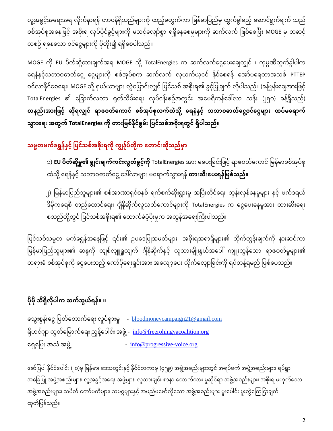လူ့အခွင့်အရေးအရ လိုက်နာရန် တာဝန်ရှိသည်များကို ထည့်မတွက်ကာ မြန်မာပြည်မှ ထွက်ခွါမည့် ဆောင်ရွက်ချက် သည် ' စစ်အုပ်စုအနေဖြင့် အစိုးရ လုပ်ပိုင်ခွင့်များကို မသင့်လျော်စွာ ရရှိနေစေမူများကို ဆက်လက် ဖြစ်စေပြီး MOGE မှ တဆင့် လစဉ် ရနေသော ဝင်ငွေများကို ပိုတိုး၍ ရရှိစေပါသည်။

MOGE ကို EU ပိတ်ဆို့ထားချက်အရ MOGE သို့ TotalEnergies က ဆက်လက်ငွေပေးချေလျှင် ၊ ကုမ္ပဏီထွက်ခွါပါက ရေနံနှင့်သဘာဝဓာတ်ငွေ့ ငွေများကို စစ်အုပ်စုက ဆက်လက် လုယက်ယူငင် နိုင်စေရန် အော်ပရေတာအသစ် PTTEP ဝင်လာနိုင်စေရေး၊ MOGE သို့ ရှယ်ယာများ လွှဲပြောင်းလျှင် ပြင်သစ် အစိုးရ၏ ခွင့်ပြုချက် လိုပါသည်။ (ခန့်မှန်းချေအားဖြင့် TotalEnergies ၏ ခြောက်လတာ ရှတ်သိမ်းရေး လုပ်ငန်းစဉ်အတွင်း အမေရိကန်ဒေါလာ သန်း (၂၅၀) ခန့်ရှိသည်) တနည်းအားဖြင့် ဆိုရလျှင် ရာဇဝတ်ကောင် စစ်အုပ်စုလက်ထဲသို့ ရေနံနှင့် သဘာဝဓာတ်ငွေ့ဝင်ငွေများ ထပ်မရောက် သွားရေး အတွက် TotalEnergies ကို တားမြစ်နိုင်စွမ်း ပြင်သစ်အစိုးရတွင် ရှိပါသည်။

# သမ္မတမက်ခရွန်နှင့် ပြင်သစ်အစိုးရကို ကျွန်ုပ်တို့က တောင်းဆိုသည်မှာ

၁) **EU ပိတ်ဆို့မှု၏ ချွင်းချက်ကင်းလွတ်ခွင့်ကို** TotalEnergies အား မပေးခြင်းဖြင့် ရာဇဝတ်ကောင် မြန်မာစစ်အုပ်စု ထံသို့ ရေနံနှင့် သဘာဝဓာတ်ငွေ့ ဒေါလာများ မရောက်သွားရနဲ **တားဆီးပေးရန်ဖြစ်သည်။** 

၂) မြန်မာပြည်သူများ၏ စစ်အာဏာရှင်စနစ် ရက်စက်ဆိုးရွားမှု အပြီးတိုင်ရေး တွန်းလှန်နေမှုများ နှင့် ဖက်ဒရယ် ဒီမိုကရေစီ တည်ထောင်ရေး၊ ဂျီနိုဆိုက်လူသတ်ကောင်များကို TotalEnergies က ငွေပေးနေမှုအား တားဆီးရေး စသည်တို့တွင် ပြင်သစ်အစိုးရ၏ ထောက်ခံပံ့ပိုးမှုက အလွန်အရေးကြီးပါသည်။

ပြင်သစ်သမ္မတ မက်ခရွန်အနေဖြင့် ၎င်း၏ ဉပဒေပြုအမတ်များ၊ အစိုးရအရာရှိများ၏ တိုက်တွန်းချက်ကို နားဆင်ကာ မြန်မာပြည်သူများ၏ ဆန္ဒကို လျစ်လျူရှုလျက် ဂျီနိုဆိုက်နှင့် လူသားမျိုးနွယ်အပေါ် ကျူးလွန်သော ရာဇဝတ်မှုများ၏ တရားခံ စစ်အုပ်စုကို ငွေပေးသည့် ကော်ပိုရေးရှင်းအား အလျော့ပေး လိုက်လျောခြင်းကို ရပ်တန့်ရမည် ဖြစ်ပေသည်။

# **ိုမ ိုသ ရှ လ ို ေါက ဆက်သွယ်ရန်။ ။**

သွေးစွန်းငွေ ဖြတ်တောက်ရေး လှုပ်ရှားမှု - <u>[bloodmoneycampaign21@gmail.com](mailto:bloodmoneycampaign21@gmail.com)</u> ရိုဟင်ဂျာ လွတ်မြောက်ရေး ညွန့်ပေါင်း အဖွဲ့ - <u>info@freerohingyacoalition.or</u>g ရှေ့ပြေး အသံ အဖွဲ့ ကား - [info@progressive-voice.org](mailto:info@progressive-voice.org)

ဖော်ပြပါ နိုင်ငံပေါင်း (၂၀)မှ မြန်မာ၊ ဒေသတွင်းနှင့် နိုင်ငံတကာမှ (၄၅၉) အဖွဲ့အစည်းများတွင် အရပ်ဖက် အဖွဲ့အစည်းများ၊ ရပ်ရွာ အခြေပြု အဖွဲ့အစည်းများ၊ လူ့အခွင့်အရေး အဖွဲ့များ၊ လူသားချင်း စာနာ ထောက်ထား မှုဆိုင်ရာ အဖွဲ့အစည်းများ၊ အစိုးရ မဟုတ်သော အဖွဲ့အစည်းများ၊ သပိတ် ကော်မတီများ၊ သမဂ္ဂများနှင့် အမည်မဖော်လိုသော အဖွဲ့အစည်းများ ပူးပေါင်း ပူးတွဲကြေငြာချက် ထုတ်ပြန်သည်။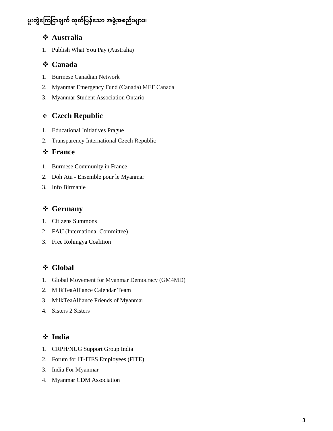## ပူးတွဲကြေငြာချက် ထုတ်ပြန်သော အဖွဲ့အစည်းများ။

### ❖ **Australia**

1. Publish What You Pay (Australia)

#### ❖ **Canada**

- 1. Burmese Canadian Network
- 2. Myanmar Emergency Fund (Canada) MEF Canada
- 3. Myanmar Student Association Ontario

### ❖ **Czech Republic**

- 1. Educational Initiatives Prague
- 2. Transparency International Czech Republic

#### ❖ **France**

- 1. Burmese Community in France
- 2. Doh Atu Ensemble pour le Myanmar
- 3. Info Birmanie

### ❖ **Germany**

- 1. Citizens Summons
- 2. FAU (International Committee)
- 3. Free Rohingya Coalition

## ❖ **Global**

- 1. Global Movement for Myanmar Democracy (GM4MD)
- 2. MilkTeaAlliance Calendar Team
- 3. MilkTeaAlliance Friends of Myanmar
- 4. Sisters 2 Sisters

## ❖ **India**

- 1. CRPH/NUG Support Group India
- 2. Forum for IT-ITES Employees (FITE)
- 3. India For Myanmar
- 4. Myanmar CDM Association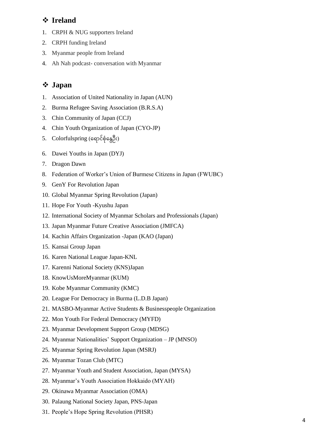#### ❖ **Ireland**

- 1. CRPH & NUG supporters Ireland
- 2. CRPH funding Ireland
- 3. Myanmar people from Ireland
- 4. Ah Nah podcast- conversation with Myanmar

## ❖ **Japan**

- 1. Association of United Nationality in Japan (AUN)
- 2. Burma Refugee Saving Association (B.R.S.A)
- 3. Chin Community of Japan (CCJ)
- 4. Chin Youth Organization of Japan (CYO-JP)
- 5. Colorfulspring (ရောင်စုံနွေဦး)
- 6. Dawei Youths in Japan (DYJ)
- 7. Dragon Dawn
- 8. Federation of Worker's Union of Burmese Citizens in Japan (FWUBC)
- 9. GenY For Revolution Japan
- 10. Global Myanmar Spring Revolution (Japan)
- 11. Hope For Youth -Kyushu Japan
- 12. International Society of Myanmar Scholars and Professionals (Japan)
- 13. Japan Myanmar Future Creative Association (JMFCA)
- 14. Kachin Affairs Organization -Japan (KAO (Japan)
- 15. Kansai Group Japan
- 16. Karen National League Japan-KNL
- 17. Karenni National Society (KNS)Japan
- 18. KnowUsMoreMyanmar (KUM)
- 19. Kobe Myanmar Community (KMC)
- 20. League For Democracy in Burma (L.D.B Japan)
- 21. MASBO-Myanmar Active Students & Businesspeople Organization
- 22. Mon Youth For Federal Democracy (MYFD)
- 23. Myanmar Development Support Group (MDSG)
- 24. Myanmar Nationalities' Support Organization JP (MNSO)
- 25. Myanmar Spring Revolution Japan (MSRJ)
- 26. Myanmar Tozan Club (MTC)
- 27. Myanmar Youth and Student Association, Japan (MYSA)
- 28. Myanmar's Youth Association Hokkaido (MYAH)
- 29. Okinawa Myanmar Association (OMA)
- 30. Palaung National Society Japan, PNS-Japan
- 31. People's Hope Spring Revolution (PHSR)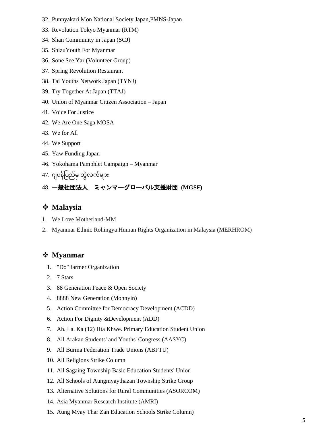- 32. Punnyakari Mon National Society Japan,PMNS-Japan
- 33. Revolution Tokyo Myanmar (RTM)
- 34. Shan Community in Japan (SCJ)
- 35. ShizuYouth For Myanmar
- 36. Sone See Yar (Volunteer Group)
- 37. Spring Revolution Restaurant
- 38. Tai Youths Network Japan (TYNJ)
- 39. Try Together At Japan (TTAJ)
- 40. Union of Myanmar Citizen Association Japan
- 41. Voice For Justice
- 42. We Are One Saga MOSA
- 43. We for All
- 44. We Support
- 45. Yaw Funding Japan
- 46. Yokohama Pamphlet Campaign Myanmar
- 47. ဂျပန်ပြည်မှ တွဲလက်များ

#### 48. 一般社団法人 ミャンマーグローバル支援財団 **(MGSF)**

### ❖ **Malaysia**

- 1. We Love Motherland-MM
- 2. Myanmar Ethnic Rohingya Human Rights Organization in Malaysia (MERHROM)

## ❖ **Myanmar**

- 1. "Do" farmer Organization
- 2. 7 Stars
- 3. 88 Generation Peace & Open Society
- 4. 8888 New Generation (Mohnyin)
- 5. Action Committee for Democracy Development (ACDD)
- 6. Action For Dignity &Development (ADD)
- 7. Ah. La. Ka (12) Hta Khwe. Primary Education Student Union
- 8. All Arakan Students' and Youths' Congress (AASYC)
- 9. All Burma Federation Trade Unions (ABFTU)
- 10. All Religions Strike Column
- 11. All Sagaing Township Basic Education Students' Union
- 12. All Schools of Aungmyaythazan Township Strike Group
- 13. Alternative Solutions for Rural Communities (ASORCOM)
- 14. Asia Myanmar Research Institute (AMRI)
- 15. Aung Myay Thar Zan Education Schools Strike Column)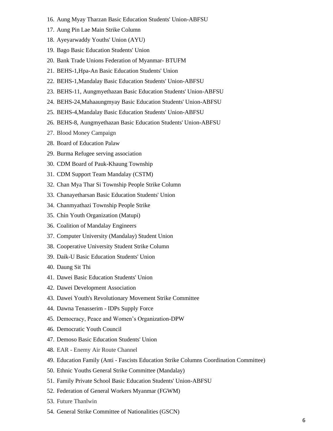- 16. Aung Myay Tharzan Basic Education Students' Union-ABFSU
- 17. Aung Pin Lae Main Strike Column
- 18. Ayeyarwaddy Youths' Union (AYU)
- 19. Bago Basic Education Students' Union
- 20. Bank Trade Unions Federation of Myanmar- BTUFM
- 21. BEHS-1,Hpa-An Basic Education Students' Union
- 22. BEHS-1,Mandalay Basic Education Students' Union-ABFSU
- 23. BEHS-11, Aungmyethazan Basic Education Students' Union-ABFSU
- 24. BEHS-24,Mahaaungmyay Basic Education Students' Union-ABFSU
- 25. BEHS-4,Mandalay Basic Education Students' Union-ABFSU
- 26. BEHS-8, Aungmyethazan Basic Education Students' Union-ABFSU
- 27. Blood Money Campaign
- 28. Board of Education Palaw
- 29. Burma Refugee serving association
- 30. CDM Board of Pauk-Khaung Township
- 31. CDM Support Team Mandalay (CSTM)
- 32. Chan Mya Thar Si Township People Strike Column
- 33. Chanayetharsan Basic Education Students' Union
- 34. Chanmyathazi Township People Strike
- 35. Chin Youth Organization (Matupi)
- 36. Coalition of Mandalay Engineers
- 37. Computer University (Mandalay) Student Union
- 38. Cooperative University Student Strike Column
- 39. Daik-U Basic Education Students' Union
- 40. Daung Sit Thi
- 41. Dawei Basic Education Students' Union
- 42. Dawei Development Association
- 43. Dawei Youth's Revolutionary Movement Strike Committee
- 44. Dawna Tenasserim IDPs Supply Force
- 45. Democracy, Peace and Women's Organization-DPW
- 46. Democratic Youth Council
- 47. Demoso Basic Education Students' Union
- 48. EAR Enemy Air Route Channel
- 49. Education Family (Anti Fascists Education Strike Columns Coordination Committee)
- 50. Ethnic Youths General Strike Committee (Mandalay)
- 51. Family Private School Basic Education Students' Union-ABFSU
- 52. Federation of General Workers Myanmar (FGWM)
- 53. Future Thanlwin
- 54. General Strike Committee of Nationalities (GSCN)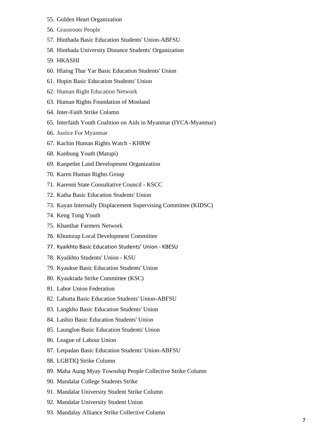- 55. Golden Heart Organization
- 56. Grassroots People
- 57. Hinthada Basic Education Students' Union-ABFSU
- 58. Hinthada University Distance Students' Organization
- 59. HKASHI
- 60. Hlaing Thar Yar Basic Education Students' Union
- 61. Hopin Basic Education Students' Union
- 62. Human Right Education Network
- 63. Human Rights Foundation of Monland
- 64. Inter-Faith Strike Column
- 65. Interfaith Youth Coalition on Aids in Myanmar (IYCA-Myanmar)
- 66. Justice For Myanmar
- 67. Kachin Human Rights Watch KHRW
- 68. Kanbung Youth (Matupi)
- 69. Kanpetlet Land Development Organization
- 70. Karen Human Rights Group
- 71. Karenni State Consultative Council KSCC
- 72. Katha Basic Education Students' Union
- 73. Kayan Internally Displacement Supervising Committee (KIDSC)
- 74. Keng Tung Youth
- 75. Khanthar Farmers Network
- 76. Khumzup Local Development Committee
- 77. Kyaikhto Basic Education Students' Union KBESU
- 78. Kyaikhto Students' Union KSU
- 79. Kyaukse Basic Education Students' Union
- 80. Kyauktada Strike Committee (KSC)
- 81. Labor Union Federation
- 82. Labutta Basic Education Students' Union-ABFSU
- 83. Langkho Basic Education Students' Union
- 84. Lashio Basic Education Students' Union
- 85. Launglon Basic Education Students' Union
- 86. League of Labour Union
- 87. Letpadan Basic Education Students' Union-ABFSU
- 88. LGBTIQ Strike Column
- 89. Maha Aung Myay Township People Collective Strike Column
- 90. Mandalar College Students Strike
- 91. Mandalar University Student Strike Column
- 92. Mandalar University Student Union
- 93. Mandalay Alliance Strike Collective Column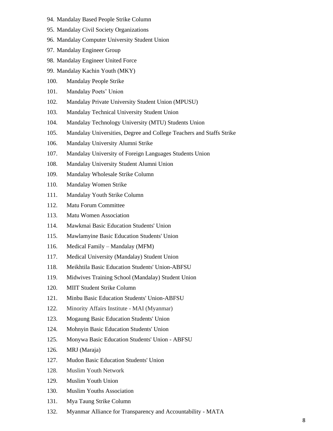- 94. Mandalay Based People Strike Column
- 95. Mandalay Civil Society Organizations
- 96. Mandalay Computer University Student Union
- 97. Mandalay Engineer Group
- 98. Mandalay Engineer United Force
- 99. Mandalay Kachin Youth (MKY)
- 100. Mandalay People Strike
- 101. Mandalay Poets' Union
- 102. Mandalay Private University Student Union (MPUSU)
- 103. Mandalay Technical University Student Union
- 104. Mandalay Technology University (MTU) Students Union
- 105. Mandalay Universities, Degree and College Teachers and Staffs Strike
- 106. Mandalay University Alumni Strike
- 107. Mandalay University of Foreign Languages Students Union
- 108. Mandalay University Student Alumni Union
- 109. Mandalay Wholesale Strike Column
- 110. Mandalay Women Strike
- 111. Mandalay Youth Strike Column
- 112. Matu Forum Committee
- 113. Matu Women Association
- 114. Mawkmai Basic Education Students' Union
- 115. Mawlamyine Basic Education Students' Union
- 116. Medical Family Mandalay (MFM)
- 117. Medical University (Mandalay) Student Union
- 118. Meikhtila Basic Education Students' Union-ABFSU
- 119. Midwives Training School (Mandalay) Student Union
- 120. MIIT Student Strike Column
- 121. Minbu Basic Education Students' Union-ABFSU
- 122. Minority Affairs Institute MAI (Myanmar)
- 123. Mogaung Basic Education Students' Union
- 124. Mohnyin Basic Education Students' Union
- 125. Monywa Basic Education Students' Union ABFSU
- 126. MRJ (Maraja)
- 127. Mudon Basic Education Students' Union
- 128. Muslim Youth Network
- 129. Muslim Youth Union
- 130. Muslim Youths Association
- 131. Mya Taung Strike Column
- 132. [Myanmar Alliance for Transparency and Accountability -](https://www.facebook.com/MATANRGMYANMAR/) MATA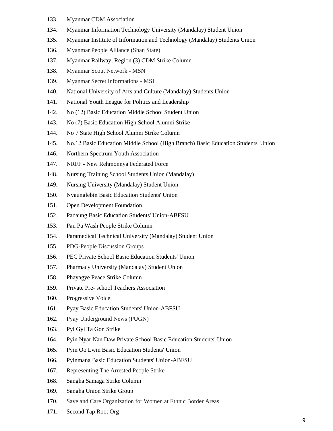- 133. Myanmar CDM Association
- 134. Myanmar Information Technology University (Mandalay) Student Union
- 135. Myanmar Institute of Information and Technology (Mandalay) Students Union
- 136. Myanmar People Alliance (Shan State)
- 137. Myanmar Railway, Region (3) CDM Strike Column
- 138. Myanmar Scout Network MSN
- 139. Myanmar Secret Informations MSI
- 140. National University of Arts and Culture (Mandalay) Students Union
- 141. National Youth League for Politics and Leadership
- 142. No (12) Basic Education Middle School Student Union
- 143. No (7) Basic Education High School Alumni Strike
- 144. No 7 State High School Alumni Strike Column
- 145. No.12 Basic Education Middle School (High Branch) Basic Education Students' Union
- 146. Northern Spectrum Youth Association
- 147. NRFF New Rehmonnya Federated Force
- 148. Nursing Training School Students Union (Mandalay)
- 149. Nursing University (Mandalay) Student Union
- 150. Nyaunglebin Basic Education Students' Union
- 151. Open Development Foundation
- 152. Padaung Basic Education Students' Union-ABFSU
- 153. Pan Pa Wash People Strike Column
- 154. Paramedical Technical University (Mandalay) Student Union
- 155. PDG-People Discussion Groups
- 156. PEC Private School Basic Education Students' Union
- 157. Pharmacy University (Mandalay) Student Union
- 158. Phayagye Peace Strike Column
- 159. Private Pre- school Teachers Association
- 160. Progressive Voice
- 161. Pyay Basic Education Students' Union-ABFSU
- 162. Pyay Underground News (PUGN)
- 163. Pyi Gyi Ta Gon Strike
- 164. Pyin Nyar Nan Daw Private School Basic Education Students' Union
- 165. Pyin Oo Lwin Basic Education Students' Union
- 166. Pyinmana Basic Education Students' Union-ABFSU
- 167. Representing The Arrested People Strike
- 168. Sangha Samaga Strike Column
- 169. Sangha Union Strike Group
- 170. Save and Care Organization for Women at Ethnic Border Areas
- 171. Second Tap Root Org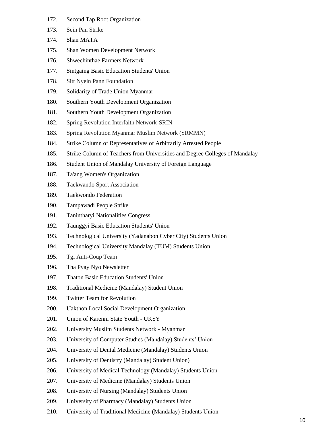- 172. Second Tap Root Organization
- 173. Sein Pan Strike
- 174. Shan MATA
- 175. Shan Women Development Network
- 176. Shwechinthae Farmers Network
- 177. Sintgaing Basic Education Students' Union
- 178. Sitt Nyein Pann Foundation
- 179. Solidarity of Trade Union Myanmar
- 180. Southern Youth Development Organization
- 181. Southern Youth Development Organization
- 182. Spring Revolution Interfaith Network-SRIN
- 183. Spring Revolution Myanmar Muslim Network (SRMMN)
- 184. Strike Column of Representatives of Arbitrarily Arrested People
- 185. Strike Column of Teachers from Universities and Degree Colleges of Mandalay
- 186. Student Union of Mandalay University of Foreign Language
- 187. Ta'ang Women's Organization
- 188. Taekwando Sport Association
- 189. Taekwondo Federation
- 190. Tampawadi People Strike
- 191. Tanintharyi Nationalities Congress
- 192. Taunggyi Basic Education Students' Union
- 193. Technological University (Yadanabon Cyber City) Students Union
- 194. Technological University Mandalay (TUM) Students Union
- 195. Tgi Anti-Coup Team
- 196. Tha Pyay Nyo Newsletter
- 197. Thaton Basic Education Students' Union
- 198. Traditional Medicine (Mandalay) Student Union
- 199. Twitter Team for Revolution
- 200. Uakthon Local Social Development Organization
- 201. Union of Karenni State Youth UKSY
- 202. University Muslim Students Network Myanmar
- 203. University of Computer Studies (Mandalay) Students' Union
- 204. University of Dental Medicine (Mandalay) Students Union
- 205. University of Dentistry (Mandalay) Student Union)
- 206. University of Medical Technology (Mandalay) Students Union
- 207. University of Medicine (Mandalay) Students Union
- 208. University of Nursing (Mandalay) Students Union
- 209. University of Pharmacy (Mandalay) Students Union
- 210. University of Traditional Medicine (Mandalay) Students Union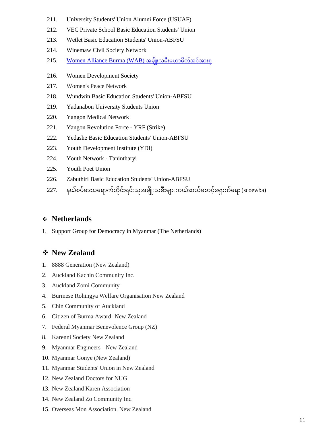- 211. University Students' Union Alumni Force (USUAF)
- 212. VEC Private School Basic Education Students' Union
- 213. Wetlet Basic Education Students' Union-ABFSU
- 214. Winemaw Civil Society Network
- 215. Women Alliance Burma (WAB) အမျိုးသမီးမဟာမိတ်အင်အားစ
- 216. Women Development Society
- 217. Women's Peace Network
- 218. Wundwin Basic Education Students' Union-ABFSU
- 219. Yadanabon University Students Union
- 220. Yangon Medical Network
- 221. Yangon Revolution Force YRF (Strike)
- 222. Yedashe Basic Education Students' Union-ABFSU
- 223. Youth Development Institute (YDI)
- 224. Youth Network Tanintharyi
- 225. Youth Poet Union
- 226. Zabuthiri Basic Education Students' Union-ABFSU
- 227. နယ်စပ်ဒေသရောက်တိုင်းရင်းသူအမျိုးသမီးများကယ်ဆယ်စောင့်ရှောက်ရေး (scoewba)

#### ❖ **Netherlands**

1. Support Group for Democracy in Myanmar (The Netherlands)

#### ❖ **New Zealand**

- 1. 8888 Generation (New Zealand)
- 2. Auckland Kachin Community Inc.
- 3. Auckland Zomi Community
- 4. Burmese Rohingya Welfare Organisation New Zealand
- 5. Chin Community of Auckland
- 6. Citizen of Burma Award- New Zealand
- 7. Federal Myanmar Benevolence Group (NZ)
- 8. Karenni Society New Zealand
- 9. Myanmar Engineers New Zealand
- 10. Myanmar Gonye (New Zealand)
- 11. Myanmar Students' Union in New Zealand
- 12. New Zealand Doctors for NUG
- 13. New Zealand Karen Association
- 14. New Zealand Zo Community Inc.
- 15. Overseas Mon Association. New Zealand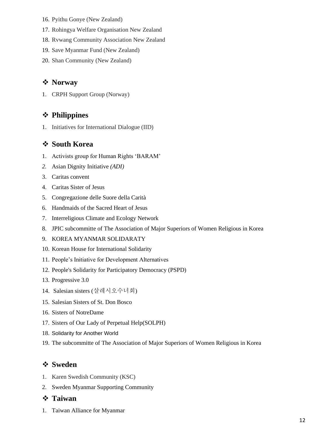- 16. Pyithu Gonye (New Zealand)
- 17. Rohingya Welfare Organisation New Zealand
- 18. Rvwang Community Association New Zealand
- 19. Save Myanmar Fund (New Zealand)
- 20. Shan Community (New Zealand)

#### ❖ **Norway**

1. CRPH Support Group (Norway)

## ❖ **Philippines**

1. Initiatives for International Dialogue (IID)

#### ❖ **South Korea**

- 1. Activists group for Human Rights 'BARAM'
- *2.* Asian Dignity Initiative *(ADI)*
- 3. Caritas convent
- 4. Caritas Sister of Jesus
- 5. Congregazione delle Suore della Carità
- 6. Handmaids of the Sacred Heart of Jesus
- 7. Interreligious Climate and Ecology Network
- 8. JPIC subcommitte of The Association of Major Superiors of Women Religious in Korea
- 9. KOREA MYANMAR SOLIDARATY
- 10. Korean House for International Solidarity
- 11. People's Initiative for Development Alternatives
- 12. People's Solidarity for Participatory Democracy (PSPD)
- 13. Progressive 3.0
- 14. Salesian sisters (살레시오수녀회)
- 15. Salesian Sisters of St. Don Bosco
- 16. Sisters of NotreDame
- 17. Sisters of Our Lady of Perpetual Help(SOLPH)
- 18. Solidarity for Another World
- 19. The subcommitte of The Association of Major Superiors of Women Religious in Korea

#### ❖ **Sweden**

- 1. Karen Swedish Community (KSC)
- 2. Sweden Myanmar Supporting Community

#### ❖ **Taiwan**

1. Taiwan Alliance for Myanmar